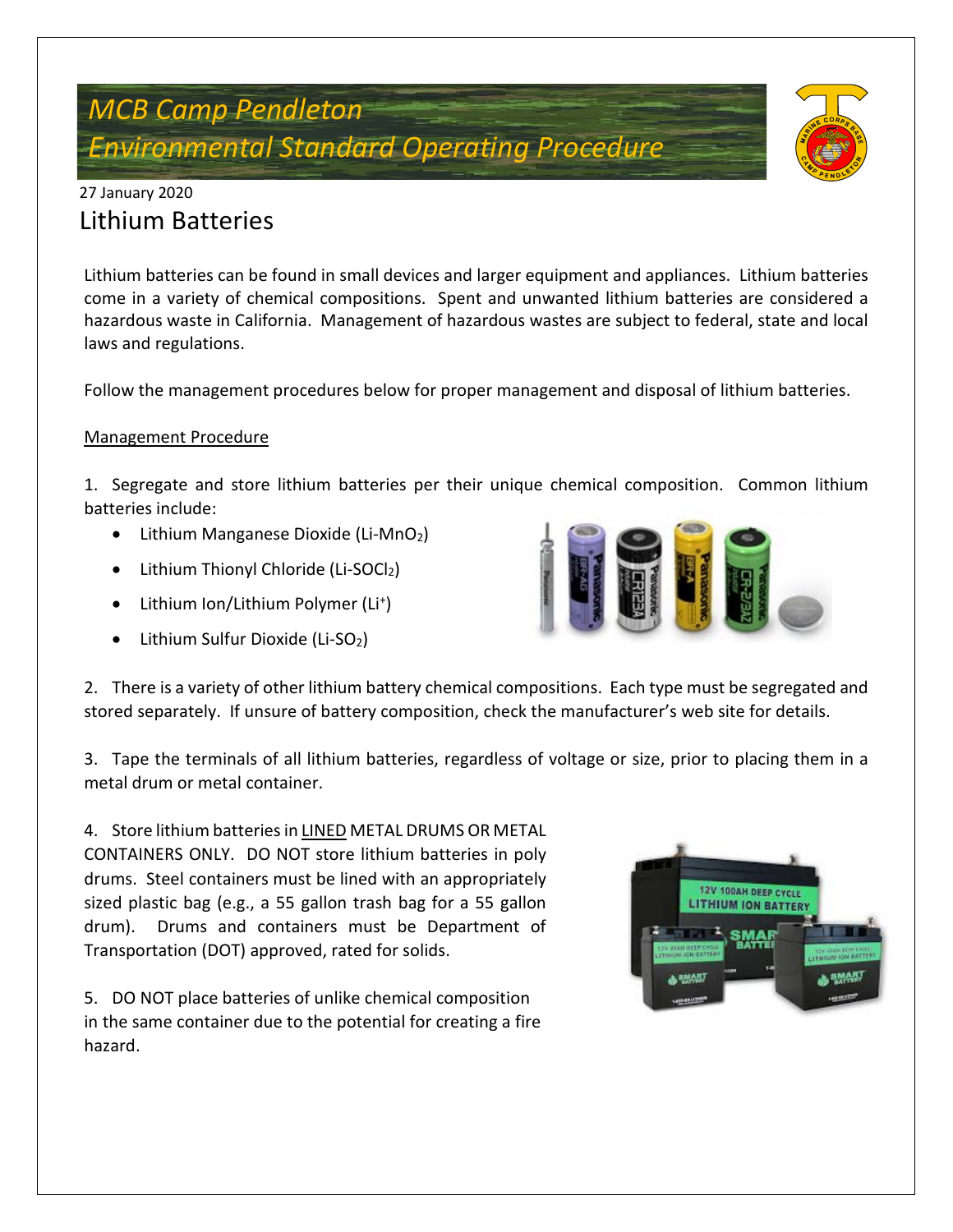# *MCB Camp Pendleton Environmental Standard Operating Procedure*



## 27 January 2020 Lithium Batteries

Lithium batteries can be found in small devices and larger equipment and appliances. Lithium batteries come in a variety of chemical compositions. Spent and unwanted lithium batteries are considered a hazardous waste in California. Management of hazardous wastes are subject to federal, state and local laws and regulations.

Follow the management procedures below for proper management and disposal of lithium batteries.

#### Management Procedure

1. Segregate and store lithium batteries per their unique chemical composition. Common lithium batteries include:

- Lithium Manganese Dioxide (Li-MnO<sub>2</sub>)
- Lithium Thionyl Chloride (Li-SOCl2)
- Lithium Ion/Lithium Polymer (Li<sup>+</sup>)
- Lithium Sulfur Dioxide (Li-SO<sub>2</sub>)



2. There is a variety of other lithium battery chemical compositions. Each type must be segregated and stored separately. If unsure of battery composition, check the manufacturer's web site for details.

3. Tape the terminals of all lithium batteries, regardless of voltage or size, prior to placing them in a metal drum or metal container.

4. Store lithium batteries in LINED METAL DRUMS OR METAL CONTAINERS ONLY. DO NOT store lithium batteries in poly drums. Steel containers must be lined with an appropriately sized plastic bag (e.g., a 55 gallon trash bag for a 55 gallon drum). Drums and containers must be Department of Transportation (DOT) approved, rated for solids.

5. DO NOT place batteries of unlike chemical composition in the same container due to the potential for creating a fire hazard.

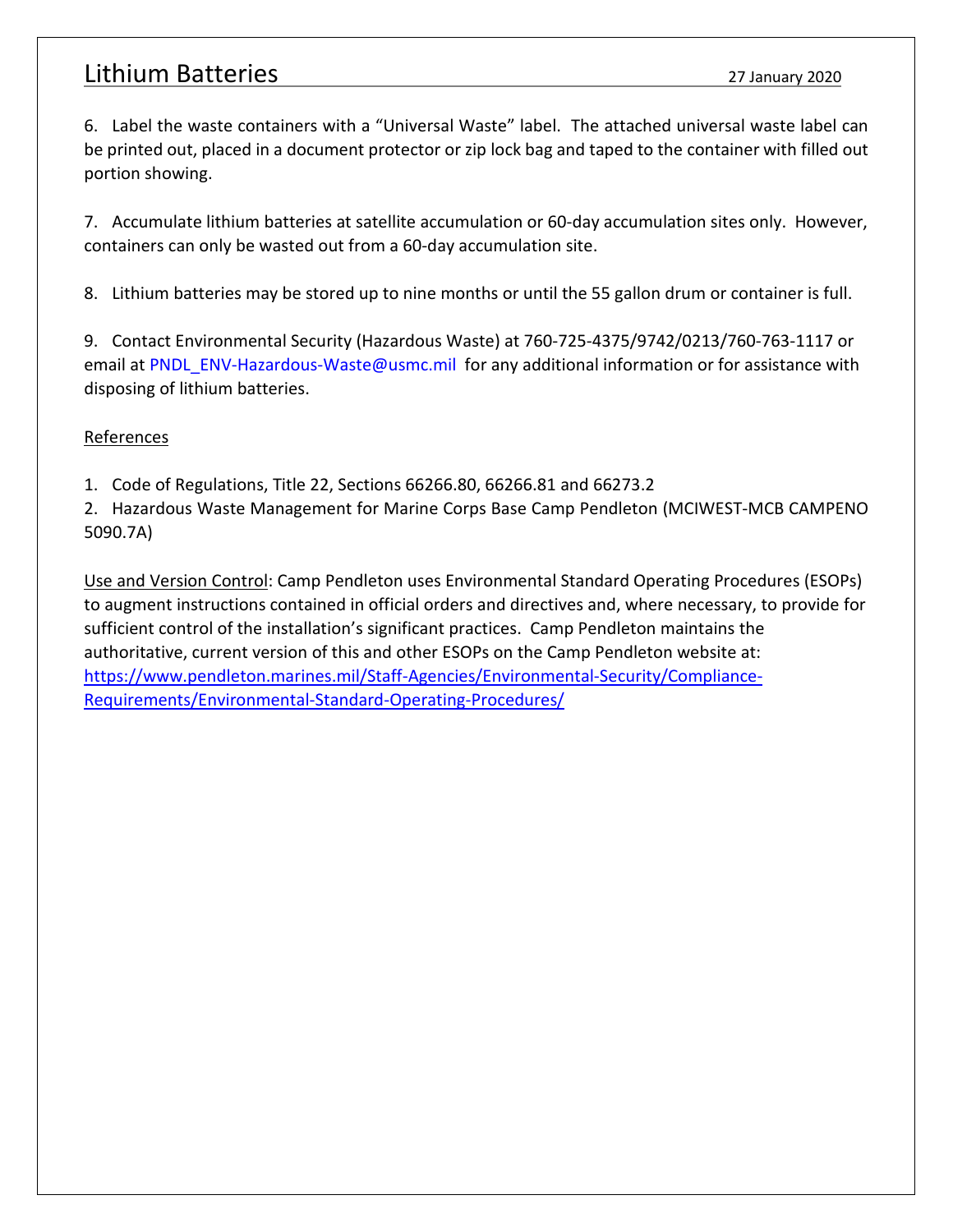### Lithium Batteries 27 January 2020

6. Label the waste containers with a "Universal Waste" label. The attached universal waste label can be printed out, placed in a document protector or zip lock bag and taped to the container with filled out portion showing.

7. Accumulate lithium batteries at satellite accumulation or 60-day accumulation sites only. However, containers can only be wasted out from a 60-day accumulation site.

8. Lithium batteries may be stored up to nine months or until the 55 gallon drum or container is full.

9. Contact Environmental Security (Hazardous Waste) at 760-725-4375/9742/0213/760-763-1117 or email at [PNDL\\_ENV-Hazardous-Waste@usmc.mil](mailto:PNDL_ENV-Hazardous-Waste@usmc.mil) for any additional information or for assistance with disposing of lithium batteries.

#### References

1. Code of Regulations, Title 22, Sections 66266.80, 66266.81 and 66273.2

2. Hazardous Waste Management for Marine Corps Base Camp Pendleton (MCIWEST-MCB CAMPENO 5090.7A)

Use and Version Control: Camp Pendleton uses Environmental Standard Operating Procedures (ESOPs) to augment instructions contained in official orders and directives and, where necessary, to provide for sufficient control of the installation's significant practices. Camp Pendleton maintains the authoritative, current version of this and other ESOPs on the Camp Pendleton website at: https://www.pendleton.marines.mil/Staff-Agencies/Environmental-Security/Compliance-Requirements/Environmental-Standard-Operating-Procedures/